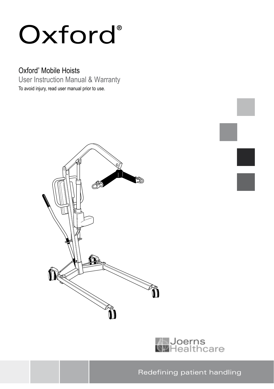# Oxford<sup>®</sup>

# Oxford® Mobile Hoists

User Instruction Manual & Warranty To avoid injury, read user manual prior to use.





Redefining patient handling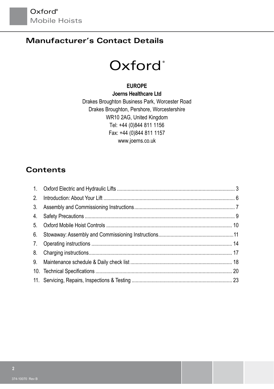# **Manufacturer's Contact Details**

# Oxford<sup>®</sup>

#### **EuropE**

**Joerns Healthcare Ltd** Drakes Broughton Business Park, Worcester Road Drakes Broughton, Pershore, Worcestershire WR10 2AG, United Kingdom Tel: +44 (0)844 811 1156 Fax: +44 (0)844 811 1157 www.joerns.co.uk

### **Contents**

| 2. |  |
|----|--|
| 3. |  |
| 4. |  |
| 5. |  |
| 6. |  |
| 7. |  |
| 8. |  |
| 9. |  |
|    |  |
|    |  |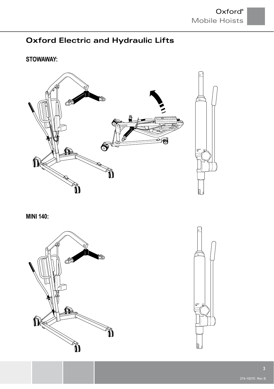# **Oxford Electric and Hydraulic Lifts**

### **STOWAWAY:**



**MINI 140:**



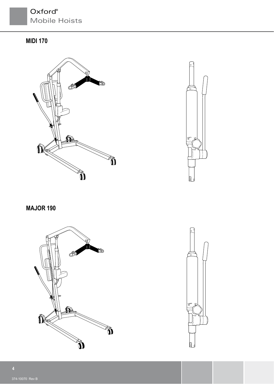# Oxford® Mobile Hoists

### **Midi 170**





**Major 190**



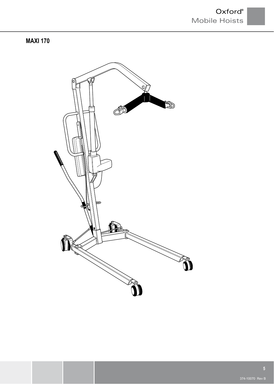### **Maxi 170**

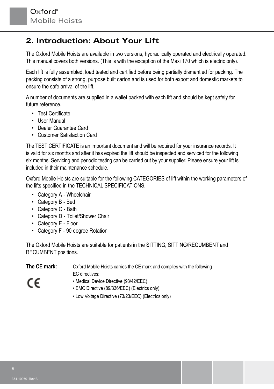# **2. Introduction: About Your Lift**

The Oxford Mobile Hoists are available in two versions, hydraulically operated and electrically operated. This manual covers both versions. (This is with the exception of the Maxi 170 which is electric only).

Each lift is fully assembled, load tested and certified before being partially dismantled for packing. The packing consists of a strong, purpose built carton and is used for both export and domestic markets to ensure the safe arrival of the lift.

A number of documents are supplied in a wallet packed with each lift and should be kept safely for future reference.

- Test Certificate
- User Manual
- Dealer Guarantee Card
- Customer Satisfaction Card

The TEST CERTIFICATE is an important document and will be required for your insurance records. It is valid for six months and after it has expired the lift should be inspected and serviced for the following six months. Servicing and periodic testing can be carried out by your supplier. Please ensure your lift is included in their maintenance schedule.

Oxford Mobile Hoists are suitable for the following CATEGORIES of lift within the working parameters of the lifts specified in the TECHNICAL SPECIFICATIONS.

- Category A Wheelchair
- Category B Bed
- Category C Bath
- Category D Toilet/Shower Chair
- Category E Floor
- Category F 90 degree Rotation

The Oxford Mobile Hoists are suitable for patients in the SITTING, SITTING/RECUMBENT and RECUMBENT positions.

| The CE mark: | Oxford Mobile Hoists carries the CE mark and complies with the following<br>EC directives: |
|--------------|--------------------------------------------------------------------------------------------|
| CE           | • Medical Device Directive (93/42/EEC)<br>• EMC Directive (89/336/EEC) (Electrics only)    |
|              | • Low Voltage Directive (73/23/EEC) (Electrics only)                                       |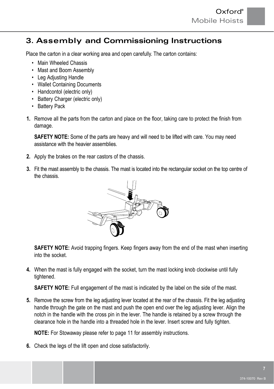### **3. Assembly and Commissioning Instructions**

Place the carton in a clear working area and open carefully. The carton contains:

- Main Wheeled Chassis
- Mast and Boom Assembly
- Leg Adjusting Handle
- Wallet Containing Documents
- Handcontol (electric only)
- Battery Charger (electric only)
- Battery Pack
- **1.** Remove all the parts from the carton and place on the floor, taking care to protect the finish from damage.

**SAFETY NOTE:** Some of the parts are heavy and will need to be lifted with care. You may need assistance with the heavier assemblies.

- **2.** Apply the brakes on the rear castors of the chassis.
- **3.** Fit the mast assembly to the chassis. The mast is located into the rectangular socket on the top centre of the chassis.



**SAFETY NOTE:** Avoid trapping fingers. Keep fingers away from the end of the mast when inserting into the socket.

**4.** When the mast is fully engaged with the socket, turn the mast locking knob clockwise until fully tightened.

**SAFETY NOTE:** Full engagement of the mast is indicated by the label on the side of the mast.

**5.** Remove the screw from the leg adjusting lever located at the rear of the chassis. Fit the leg adjusting handle through the gate on the mast and push the open end over the leg adjusting lever. Align the notch in the handle with the cross pin in the lever. The handle is retained by a screw through the clearance hole in the handle into a threaded hole in the lever. Insert screw and fully tighten.

**NOTE:** For Stowaway please refer to page 11 for assembly instructions.

**6.** Check the legs of the lift open and close satisfactorily.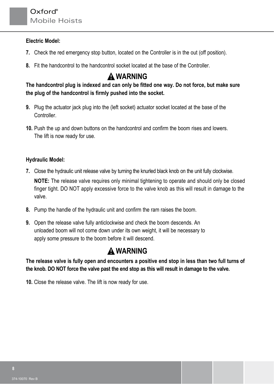#### **Electric Model:**

- **7.** Check the red emergency stop button, located on the Controller is in the out (off position).
- **8.** Fit the handcontrol to the handcontrol socket located at the base of the Controller.

# **WARNING**

**The handcontrol plug is indexed and can only be fitted one way. Do not force, but make sure the plug of the handcontrol is firmly pushed into the socket.**

- **9.** Plug the actuator jack plug into the (left socket) actuator socket located at the base of the Controller.
- **10.** Push the up and down buttons on the handcontrol and confirm the boom rises and lowers. The lift is now ready for use.

#### **Hydraulic Model:**

**7.** Close the hydraulic unit release valve by turning the knurled black knob on the unit fully clockwise.

**NOTE:** The release valve requires only minimal tightening to operate and should only be closed finger tight. DO NOT apply excessive force to the valve knob as this will result in damage to the valve.

- **8.** Pump the handle of the hydraulic unit and confirm the ram raises the boom.
- **9.** Open the release valve fully anticlockwise and check the boom descends. An unloaded boom will not come down under its own weight, it will be necessary to apply some pressure to the boom before it will descend.

# **WARNING**

**The release valve is fully open and encounters a positive end stop in less than two full turns of the knob. DO NOT force the valve past the end stop as this will result in damage to the valve.**

**10.** Close the release valve. The lift is now ready for use.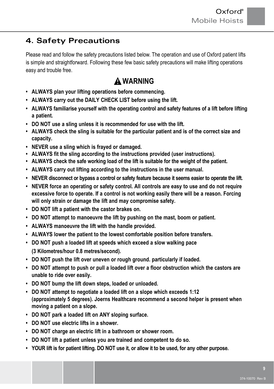# **4. Safety Precautions**

Please read and follow the safety precautions listed below. The operation and use of Oxford patient lifts is simple and straightforward. Following these few basic safety precautions will make lifting operations easy and trouble free.

# **WARNING**

- **• ALWAYS plan your lifting operations before commencing.**
- **• ALWAYS carry out the DAILY CHECK LIST before using the lift.**
- **• ALWAYS familiarise yourself with the operating control and safety features of a lift before lifting a patient.**
- **DO NOT use a sling unless it is recommended for use with the lift.**
- **ALWAYS check the sling is suitable for the particular patient and is of the correct size and capacity.**
- **NEVER use a sling which is frayed or damaged.**
- **ALWAYS fit the sling according to the instructions provided (user instructions).**
- **• ALWAYS check the safe working load of the lift is suitable for the weight of the patient.**
- **• ALWAYS carry out lifting according to the instructions in the user manual.**
- **• NEVER disconnect or bypass a control or safety feature because it seems easier to operate the lift.**
- **• NEVER force an operating or safety control. All controls are easy to use and do not require excessive force to operate. If a control is not working easily there will be a reason. Forcing will only strain or damage the lift and may compromise safety.**
- **DO NOT lift a patient with the castor brakes on.**
- **DO NOT attempt to manoeuvre the lift by pushing on the mast, boom or patient.**
- **• ALWAYS manoeuvre the lift with the handle provided.**
- **• ALWAYS lower the patient to the lowest comfortable position before transfers.**
- **DO NOT push a loaded lift at speeds which exceed a slow walking pace (3 Kilometres/hour 0.8 metres/second).**
- **DO NOT push the lift over uneven or rough ground. particularly if loaded.**
- **DO NOT attempt to push or pull a loaded lift over a floor obstruction which the castors are unable to ride over easily.**
- **DO NOT bump the lift down steps, loaded or unloaded.**
- **DO NOT attempt to negotiate a loaded lift on a slope which exceeds 1:12 (approximately 5 degrees). Joerns Healthcare recommend a second helper is present when moving a patient on a slope.**
- **DO NOT park a loaded lift on ANY sloping surface.**
- **DO NOT use electric lifts in a shower.**
- **DO NOT charge an electric lift in a bathroom or shower room.**
- **DO NOT lift a patient unless you are trained and competent to do so.**
- **• YOUR lift is for patient lifting. DO NOT use it, or allow it to be used, for any other purpose.**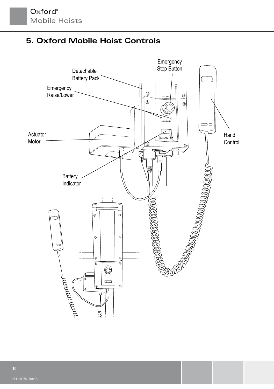# **5. Oxford Mobile Hoist Controls**

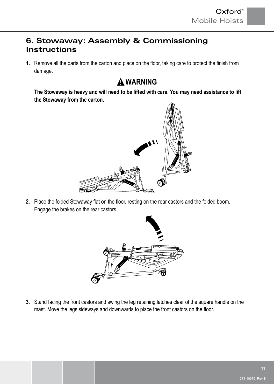# **6. Stowaway: Assembly & Commissioning Instructions**

**1.** Remove all the parts from the carton and place on the floor, taking care to protect the finish from damage.

# **WARNING**

**The Stowaway is heavy and will need to be lifted with care. You may need assistance to lift the Stowaway from the carton.**



2. Place the folded Stowaway flat on the floor, resting on the rear castors and the folded boom. Engage the brakes on the rear castors.



**3.** Stand facing the front castors and swing the leg retaining latches clear of the square handle on the mast. Move the legs sideways and downwards to place the front castors on the floor.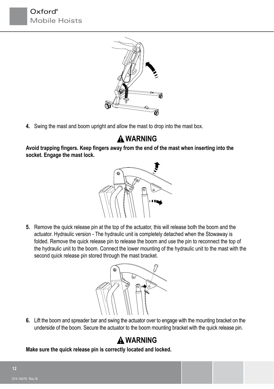



**4.** Swing the mast and boom upright and allow the mast to drop into the mast box.

# **WARNING**

**Avoid trapping fingers. Keep fingers away from the end of the mast when inserting into the socket. Engage the mast lock.**



**5.** Remove the quick release pin at the top of the actuator, this will release both the boom and the actuator. Hydraulic version - The hydraulic unit is completely detached when the Stowaway is folded. Remove the quick release pin to release the boom and use the pin to reconnect the top of the hydraulic unit to the boom. Connect the lower mounting of the hydraulic unit to the mast with the second quick release pin stored through the mast bracket.



**6.** Lift the boom and spreader bar and swing the actuator over to engage with the mounting bracket on the underside of the boom. Secure the actuator to the boom mounting bracket with the quick release pin.

# **WARNING**

**Make sure the quick release pin is correctly located and locked.**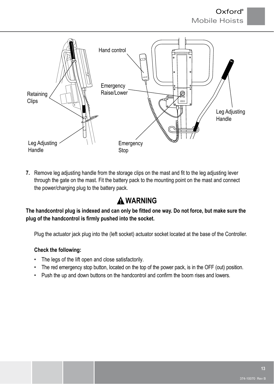

**7.** Remove leg adjusting handle from the storage clips on the mast and fit to the leg adjusting lever through the gate on the mast. Fit the battery pack to the mounting point on the mast and connect the power/charging plug to the battery pack.

# **WARNING**

**The handcontrol plug is indexed and can only be fitted one way. Do not force, but make sure the plug of the handcontrol is firmly pushed into the socket.**

Plug the actuator jack plug into the (left socket) actuator socket located at the base of the Controller.

#### **Check the following:**

- The legs of the lift open and close satisfactorily.
- The red emergency stop button, located on the top of the power pack, is in the OFF (out) position.
- Push the up and down buttons on the handcontrol and confirm the boom rises and lowers.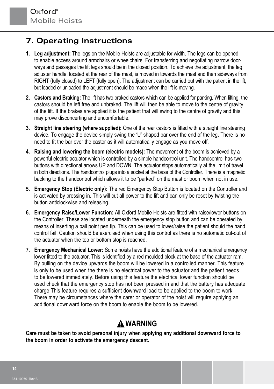# **7. Operating Instructions**

- **1. Leg adjustment:** The legs on the Mobile Hoists are adjustable for width. The legs can be opened to enable access around armchairs or wheelchairs. For transferring and negotiating narrow doorways and passages the lift legs should be in the closed position. To achieve the adjustment, the leg adjuster handle, located at the rear of the mast, is moved in towards the mast and then sideways from RIGHT (fully closed) to LEFT (fully open). The adjustment can be carried out with the patient in the lift, but loaded or unloaded the adjustment should be made when the lift is moving.
- **2. Castors and Braking:** The lift has two braked castors which can be applied for parking. When lifting, the castors should be left free and unbraked. The lift will then be able to move to the centre of gravity of the lift. If the brakes are applied it is the patient that will swing to the centre of gravity and this may prove disconcerting and uncomfortable.
- **3. Straight line steering (where supplied):** One of the rear castors is fitted with a straight line steering device. To engage the device simply swing the 'U' shaped bar over the end of the leg. There is no need to fit the bar over the castor as it will automatically engage as you move off.
- **4. Raising and lowering the boom (electric models):** The movement of the boom is achieved by a powerful electric actuator which is controlled by a simple handcontrol unit. The handcontrol has two buttons with directional arrows UP and DOWN. The actuator stops automatically at the limit of travel in both directions. The handcontrol plugs into a socket at the base of the Controller. There is a magnetic backing to the handcontrol which allows it to be "parked" on the mast or boom when not in use.
- **5. Emergency Stop (Electric only):** The red Emergency Stop Button is located on the Controller and is activated by pressing in. This will cut all power to the lift and can only be reset by twisting the button anticlockwise and releasing.
- **6. Emergency Raise/Lower Function:** All Oxford Mobile Hoists are fitted with raise/lower buttons on the Controller. These are located underneath the emergency stop button and can be operated by means of inserting a ball point pen tip. This can be used to lower/raise the patient should the hand control fail. Caution should be exercised when using this control as there is no automatic cut-out of the actuator when the top or bottom stop is reached.
- **7. Emergency Mechanical Lower:** Some hoists have the additional feature of a mechanical emergency lower fitted to the actuator. This is identified by a red moulded block at the base of the actuator ram. By pulling on the device upwards the boom will be lowered in a controlled manner. This feature is only to be used when the there is no electrical power to the actuator and the patient needs to be lowered immediately. Before using this feature the electrical lower function should be used check that the emergency stop has not been pressed in and that the battery has adequate charge This feature requires a sufficient downward load to be applied to the boom to work. There may be circumstances where the carer or operator of the hoist will require applying an additional downward force on the boom to enable the boom to be lowered.

# **WARNING**

**Care must be taken to avoid personal injury when applying any additional downward force to the boom in order to activate the emergency descent.**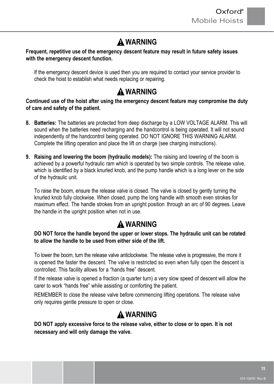# **WARNING**

#### **Frequent, repetitive use of the emergency descent feature may result in future safety issues with the emergency descent function.**

If the emergency descent device is used then you are required to contact your service provider to check the hoist to establish what needs replacing or repairing.

# **WARNING**

**Continued use of the hoist after using the emergency descent feature may compromise the duty of care and safety of the patient.**

- **8. Batteries:** The batteries are protected from deep discharge by a LOW VOLTAGE ALARM. This will sound when the batteries need recharging and the handcontrol is being operated. It will not sound independently of the handcontrol being operated. DO NOT IGNORE THIS WARNING ALARM. Complete the lifting operation and place the lift on charge (see charging instructions).
- **9. Raising and lowering the boom (hydraulic models):** The raising and lowering of the boom is achieved by a powerful hydraulic ram which is operated by two simple controls. The release valve, which is identified by a black knurled knob, and the pump handle which is a long lever on the side of the hydraulic unit.

To raise the boom, ensure the release valve is closed. The valve is closed by gently turning the knurled knob fully clockwise. When closed, pump the long handle with smooth even strokes for maximum effect. The handle strokes from an upright position through an arc of 90 degrees. Leave the handle in the upright position when not in use.

# **WARNING**

#### **DO NOT force the handle beyond the upper or lower stops. The hydraulic unit can be rotated to allow the handle to be used from either side of the lift.**

To lower the boom, turn the release valve anticlockwise. The release valve is progressive, the more it is opened the faster the descent. The valve is restricted so even when fully open the descent is controlled. This facility allows for a "hands free" descent.

If the release valve is opened a fraction (a quarter turn) a very slow speed of descent will allow the carer to work "hands free" while assisting or comforting the patient.

REMEMBER to close the release valve before commencing lifting operations. The release valve only requires gentle pressure to open or close.

# **WARNING**

 **DO NOT apply excessive force to the release valve, either to close or to open. It is not necessary and will only damage the valve.**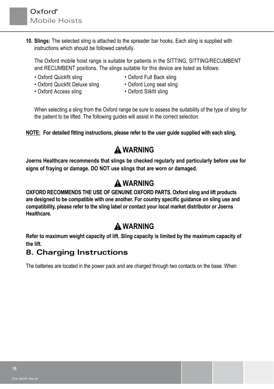**10. Slings:** The selected sling is attached to the spreader bar hooks. Each sling is supplied with instructions which should be followed carefully.

 The Oxford mobile hoist range is suitable for patients in the SITTING, SITTING/RECUMBENT and RECUMBENT positions. The slings suitable for this device are listed as follows:

- 
- Oxford Quickfit sling Oxford Full Back sling<br>• Oxford Quickfit Deluxe sling Oxford Long seat sling • Oxford Quickfit Deluxe sling
- Oxford Access sling Oxford Silkfit sling
- 
- -

When selecting a sling from the Oxford range be sure to assess the suitability of the type of sling for the patient to be lifted. The following guides will assist in the correct selection.

**NOTE: For detailed fitting instructions, please refer to the user guide supplied with each sling.**

# **WARNING**

**Joerns Healthcare recommends that slings be checked regularly and particularly before use for signs of fraying or damage. DO NOT use slings that are worn or damaged.**

# **WARNING**

**OXFORD RECOMMENDS THE USE OF GENUINE OXFORD PARTS. Oxford sling and lift products are designed to be compatible with one another. For country specific guidance on sling use and compatibility, please refer to the sling label or contact your local market distributor or Joerns Healthcare.**

# **WARNING**

**Refer to maximum weight capacity of lift. Sling capacity is limited by the maximum capacity of the lift.**

### **8. Charging Instructions**

The batteries are located in the power pack and are charged through two contacts on the base. When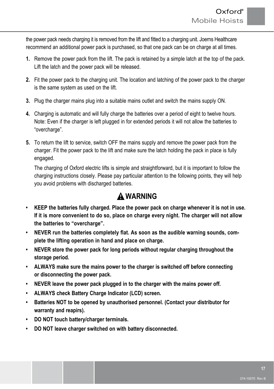the power pack needs charging it is removed from the lift and fitted to a charging unit. Joerns Healthcare recommend an additional power pack is purchased, so that one pack can be on charge at all times.

- **1.** Remove the power pack from the lift. The pack is retained by a simple latch at the top of the pack. Lift the latch and the power pack will be released.
- **2.** Fit the power pack to the charging unit. The location and latching of the power pack to the charger is the same system as used on the lift.
- **3.** Plug the charger mains plug into a suitable mains outlet and switch the mains supply ON.
- **4.** Charging is automatic and will fully charge the batteries over a period of eight to twelve hours. Note: Even if the charger is left plugged in for extended periods it will not allow the batteries to "overcharge".
- **5.** To return the lift to service, switch OFF the mains supply and remove the power pack from the charger. Fit the power pack to the lift and make sure the latch holding the pack in place is fully engaged.

The charging of Oxford electric lifts is simple and straightforward, but it is important to follow the charging instructions closely. Please pay particular attention to the following points, they will help you avoid problems with discharged batteries.

# **WARNING**

- **• KEEP the batteries fully charged. Place the power pack on charge whenever it is not in use. If it is more convenient to do so, place on charge every night. The charger will not allow the batteries to "overcharge".**
- **• NEVER run the batteries completely flat. As soon as the audible warning sounds, complete the lifting operation in hand and place on charge.**
- **• NEVER store the power pack for long periods without regular charging throughout the storage period.**
- **• ALWAYS make sure the mains power to the charger is switched off before connecting or disconnecting the power pack.**
- **• NEVER leave the power pack plugged in to the charger with the mains power off.**
- **• ALWAYS check Battery Charge Indicator (LCD) screen.**
- **• Batteries NOT to be opened by unauthorised personnel. (Contact your distributor for warranty and reapirs).**
- **DO NOT touch battery/charger terminals.**
- **DO NOT leave charger switched on with battery disconnected.**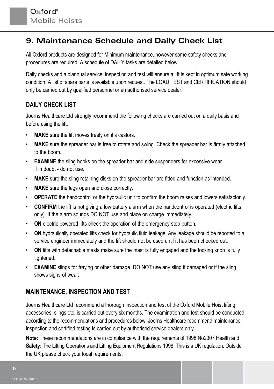### **9. Maintenance Schedule and Daily Check List**

All Oxford products are designed for Minimum maintenance, however some safety checks and procedures are required. A schedule of DAILY tasks are detailed below.

Daily checks and a biannual service, inspection and test will ensure a lift is kept in optimum safe working condition. A list of spare parts is available upon request. The LOAD TEST and CERTIFICATION should only be carried out by qualified personnel or an authorised service dealer.

### **DAILY CHECK LIST**

Joerns Healthcare Ltd strongly recommend the following checks are carried out on a daily basis and before using the lift.

- **MAKE** sure the lift moves freely on it's castors.
- **MAKE** sure the spreader bar is free to rotate and swing. Check the spreader bar is firmly attached to the boom.
- **EXAMINE** the sling hooks on the spreader bar and side suspenders for excessive wear. If in doubt - do not use.
- **MAKE** sure the sling retaining disks on the spreader bar are fitted and function as intended.
- **MAKE** sure the legs open and close correctly.
- **OPERATE** the handcontrol or the hydraulic unit to confirm the boom raises and lowers satisfactorily.
- **CONFIRM** the lift is not giving a low battery alarm when the handcontrol is operated (electric lifts) only). If the alarm sounds DO NOT use and place on charge immediately.
- **ON** electric powered lifts check the operation of the emergency stop button.
- **ON** hydraulically operated lifts check for hydraulic fluid leakage. Any leakage should be reported to a service engineer immediately and the lift should not be used until it has been checked out.
- **ON** lifts with detachable masts make sure the mast is fully engaged and the locking knob is fully tightened.
- **EXAMINE** slings for fraying or other damage. DO NOT use any sling if damaged or if the sling shows signs of wear.

### **MAINTENANCE, INSPECTION AND TEST**

Joerns Healthcare Ltd recommend a thorough inspection and test of the Oxford Mobile Hoist lifting accessories, slings etc. is carried out every six months. The examination and test should be conducted according to the recommendations and procedures below. Joerns Healthcare recommend maintenance, inspection and certified testing is carried out by authorised service dealers only.

**Note:** These recommendations are in compliance with the requirements of 1998 No2307 Health and **Safety:** The Lifting Operations and Lifting Equipment Regulations 1998. This is a UK regulation. Outside the UK please check your local requirements.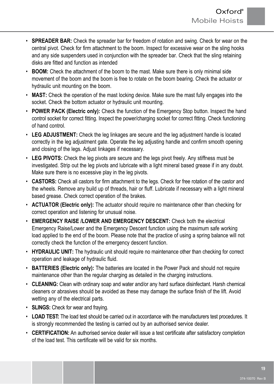- **SPREADER BAR:** Check the spreader bar for freedom of rotation and swing. Check for wear on the central pivot. Check for firm attachment to the boom. Inspect for excessive wear on the sling hooks and any side suspenders used in conjunction with the spreader bar. Check that the sling retaining disks are fitted and function as intended
- **BOOM:** Check the attachment of the boom to the mast. Make sure there is only minimal side movement of the boom and the boom is free to rotate on the boom bearing. Check the actuator or hydraulic unit mounting on the boom.
- **MAST:** Check the operation of the mast locking device. Make sure the mast fully engages into the socket. Check the bottom actuator or hydraulic unit mounting.
- **POWER PACK (Electric only):** Check the function of the Emergency Stop button. Inspect the hand control socket for correct fitting. Inspect the power/charging socket for correct fitting. Check functioning of hand control.
- **LEG ADJUSTMENT:** Check the leg linkages are secure and the leg adjustment handle is located correctly in the leg adjustment gate. Operate the leg adjusting handle and confirm smooth opening and closing of the legs. Adjust linkages if necessary.
- **LEG PIVOTS:** Check the leg pivots are secure and the legs pivot freely. Any stiffness must be investigated. Strip out the leg pivots and lubricate with a light mineral based grease if in any doubt. Make sure there is no excessive play in the leg pivots.
- **CASTORS:** Check all castors for firm attachment to the legs. Check for free rotation of the castor and the wheels. Remove any build up of threads, hair or fluff. Lubricate if necessary with a light mineral based grease. Check correct operation of the brakes.
- **ACTUATOR (Electric only):** The actuator should require no maintenance other than checking for correct operation and listening for unusual noise.
- **EMERGENCY RAISE /LOWER AND EMERGENCY DESCENT:** Check both the electrical Emergency Raise/Lower and the Emergency Descent function using the maximum safe working load applied to the end of the boom. Please note that the practice of using a spring balance will not correctly check the function of the emergency descent function.
- **HYDRAULIC UNIT:** The hydraulic unit should require no maintenance other than checking for correct operation and leakage of hydraulic fluid.
- **BATTERIES (Electric only):** The batteries are located in the Power Pack and should not require maintenance other than the regular charging as detailed in the charging instructions.
- **CLEANING:** Clean with ordinary soap and water and/or any hard surface disinfectant. Harsh chemical cleaners or abrasives should be avoided as these may damage the surface finish of the lift. Avoid wetting any of the electrical parts.
- **SLINGS:** Check for wear and fraying.
- **LOAD TEST:** The load test should be carried out in accordance with the manufacturers test procedures. It is strongly recommended the testing is carried out by an authorised service dealer.
- **CERTIFICATION:** An authorised service dealer will issue a test certificate after satisfactory completion of the load test. This certificate will be valid for six months.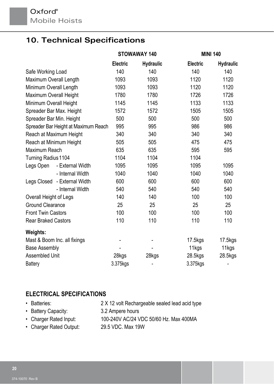# **10. Technical Specifications**

|                              |                                      | STOWAWAY 140    |                  |                 | <b>MINI 140</b>  |
|------------------------------|--------------------------------------|-----------------|------------------|-----------------|------------------|
|                              |                                      | <b>Electric</b> | <b>Hydraulic</b> | <b>Electric</b> | <b>Hydraulic</b> |
| Safe Working Load            |                                      | 140             | 140              | 140             | 140              |
| Maximum Overall Length       |                                      | 1093            | 1093             | 1120            | 1120             |
| Minimum Overall Length       |                                      | 1093            | 1093             | 1120            | 1120             |
| Maximum Overall Height       |                                      | 1780            | 1780             | 1726            | 1726             |
| Minimum Overall Height       |                                      | 1145            | 1145             | 1133            | 1133             |
| Spreader Bar Max. Height     |                                      | 1572            | 1572             | 1505            | 1505             |
| Spreader Bar Min. Height     |                                      | 500             | 500              | 500             | 500              |
|                              | Spreader Bar Height at Maximum Reach | 995             | 995              | 986             | 986              |
|                              | Reach at Maximum Height              | 340             | 340              | 340             | 340              |
| Reach at Minimum Height      |                                      | 505             | 505              | 475             | 475              |
| Maximum Reach                |                                      | 635             | 635              | 595             | 595              |
| Turning Radius 1104          |                                      | 1104            | 1104             | 1104            |                  |
| Legs Open                    | - External Width                     | 1095            | 1095             | 1095            | 1095             |
|                              | - Internal Width                     | 1040            | 1040             | 1040            | 1040             |
|                              | Legs Closed - External Width         | 600             | 600              | 600             | 600              |
|                              | - Internal Width                     | 540             | 540              | 540             | 540              |
| Overall Height of Legs       |                                      | 140             | 140              | 100             | 100              |
| <b>Ground Clearance</b>      |                                      | 25              | 25               | 25              | 25               |
| <b>Front Twin Castors</b>    |                                      | 100             | 100              | 100             | 100              |
| <b>Rear Braked Castors</b>   |                                      | 110             | 110              | 110             | 110              |
| <b>Weights:</b>              |                                      |                 |                  |                 |                  |
| Mast & Boom Inc. all fixings |                                      |                 |                  | 17.5kgs         | 17.5kgs          |
| <b>Base Assembly</b>         |                                      |                 |                  | 11kgs           | 11kgs            |
| Assembled Unit               |                                      | 28kgs           | 28kgs            | 28.5kgs         | 28.5kgs          |
| <b>Battery</b>               |                                      | 3.375kgs        |                  | 3.375kgs        |                  |

### **ELECTRICAL SPECIFICATIONS**

| • Batteries:        | 2 X 12 volt Rechargeable sealed lead acid type |
|---------------------|------------------------------------------------|
| • Battery Capacity: | 3.2 Ampere hours                               |

- Charger Rated Input: 100-240V AC/24 VDC 50/60 Hz. Max 400MA
- Charger Rated Output: 29.5 VDC. Max 19W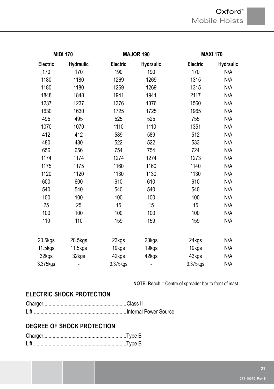### Oxford® Mobile Hoists

| <b>MIDI 170</b> |                  | <b>MAJOR 190</b> |                  | <b>MAXI 170</b> |                  |  |
|-----------------|------------------|------------------|------------------|-----------------|------------------|--|
| Electric        | <b>Hydraulic</b> | Electric         | <b>Hydraulic</b> | Electric        | <b>Hydraulic</b> |  |
| 170             | 170              | 190              | 190              | 170             | N/A              |  |
| 1180            | 1180             | 1269             | 1269             | 1315            | N/A              |  |
| 1180            | 1180             | 1269             | 1269             | 1315            | N/A              |  |
| 1848            | 1848             | 1941             | 1941             | 2117            | N/A              |  |
| 1237            | 1237             | 1376             | 1376             | 1560            | N/A              |  |
| 1630            | 1630             | 1725             | 1725             | 1965            | N/A              |  |
| 495             | 495              | 525              | 525              | 755             | N/A              |  |
| 1070            | 1070             | 1110             | 1110             | 1351            | N/A              |  |
| 412             | 412              | 589              | 589              | 512             | N/A              |  |
| 480             | 480              | 522              | 522              | 533             | N/A              |  |
| 656             | 656              | 754              | 754              | 724             | N/A              |  |
| 1174            | 1174             | 1274             | 1274             | 1273            | N/A              |  |
| 1175            | 1175             | 1160             | 1160             | 1140            | N/A              |  |
| 1120            | 1120             | 1130             | 1130             | 1130            | N/A              |  |
| 600             | 600              | 610              | 610              | 610             | N/A              |  |
| 540             | 540              | 540              | 540              | 540             | N/A              |  |
| 100             | 100              | 100              | 100              | 100             | N/A              |  |
| 25              | 25               | 15               | 15               | 15              | N/A              |  |
| 100             | 100              | 100              | 100              | 100             | N/A              |  |
| 110             | 110              | 159              | 159              | 159             | N/A              |  |
|                 |                  |                  |                  |                 |                  |  |
| 20.5kgs         | 20.5kgs          | 23kgs            | 23kgs            | 24kgs           | N/A              |  |
| 11.5kgs         | 11.5kgs          | 19kgs            | 19kgs            | 19kgs           | N/A              |  |
| 32kgs           | 32kgs            | 42kgs            | 42kgs            | 43kgs           | N/A              |  |
| 3.375kgs        | -                | 3.375kgs         |                  | 3.375kgs        | N/A              |  |

**NOTE:** Reach = Centre of spreader bar to front of mast

### **ELECTRIC SHOCK PROTECTION**

### **DEGREE OF SHOCK PROTECTION**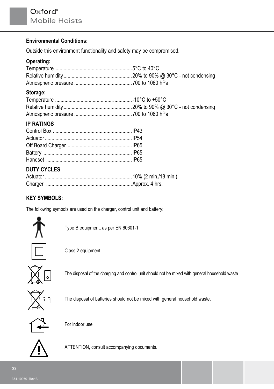#### **Environmental Conditions:**

Outside this environment functionality and safety may be compromised.

#### **Operating:**

#### **Storage:**

#### **IP RATINGS**

#### **DUTY CYCLES**

#### **KEY SYMBOLS:**

The following symbols are used on the charger, control unit and battery:



Type B equipment, as per EN 60601-1

Class 2 equipment



The disposal of the charging and control unit should not be mixed with general household waste



The disposal of batteries should not be mixed with general household waste.



For indoor use



ATTENTION, consult accompanying documents.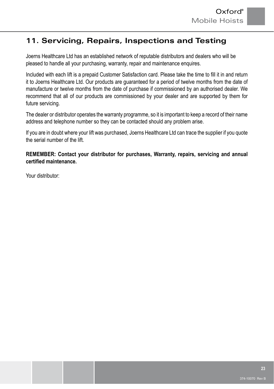## **11. Servicing, Repairs, Inspections and Testing**

Joerns Healthcare Ltd has an established network of reputable distributors and dealers who will be pleased to handle all your purchasing, warranty, repair and maintenance enquires.

Included with each lift is a prepaid Customer Satisfaction card. Please take the time to fill it in and return it to Joerns Healthcare Ltd. Our products are guaranteed for a period of twelve months from the date of manufacture or twelve months from the date of purchase if commissioned by an authorised dealer. We recommend that all of our products are commissioned by your dealer and are supported by them for future servicing.

The dealer or distributor operates the warranty programme, so it is important to keep a record of their name address and telephone number so they can be contacted should any problem arise.

If you are in doubt where your lift was purchased, Joerns Healthcare Ltd can trace the supplier if you quote the serial number of the lift.

**REMEMBER: Contact your distributor for purchases, Warranty, repairs, servicing and annual certified maintenance.**

Your distributor: